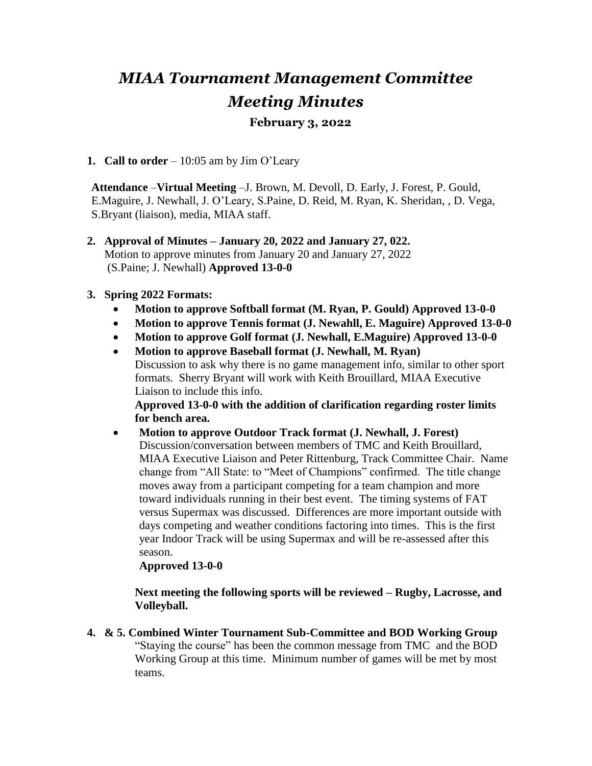## *MIAA Tournament Management Committee Meeting Minutes*

## **February 3, 2022**

**1. Call to order** – 10:05 am by Jim O'Leary

**Attendance** –**Virtual Meeting** –J. Brown, M. Devoll, D. Early, J. Forest, P. Gould, E.Maguire, J. Newhall, J. O'Leary, S.Paine, D. Reid, M. Ryan, K. Sheridan, , D. Vega, S.Bryant (liaison), media, MIAA staff.

**2. Approval of Minutes – January 20, 2022 and January 27, 022.**  Motion to approve minutes from January 20 and January 27, 2022 (S.Paine; J. Newhall) **Approved 13-0-0**

## **3. Spring 2022 Formats:**

- **Motion to approve Softball format (M. Ryan, P. Gould) Approved 13-0-0**
- **Motion to approve Tennis format (J. Newahll, E. Maguire) Approved 13-0-0**
- **Motion to approve Golf format (J. Newhall, E.Maguire) Approved 13-0-0**
- **Motion to approve Baseball format (J. Newhall, M. Ryan)**  Discussion to ask why there is no game management info, similar to other sport formats. Sherry Bryant will work with Keith Brouillard, MIAA Executive Liaison to include this info.

**Approved 13-0-0 with the addition of clarification regarding roster limits for bench area.**

 **Motion to approve Outdoor Track format (J. Newhall, J. Forest)**  Discussion/conversation between members of TMC and Keith Brouillard, MIAA Executive Liaison and Peter Rittenburg, Track Committee Chair. Name change from "All State: to "Meet of Champions" confirmed. The title change moves away from a participant competing for a team champion and more toward individuals running in their best event. The timing systems of FAT versus Supermax was discussed. Differences are more important outside with days competing and weather conditions factoring into times. This is the first year Indoor Track will be using Supermax and will be re-assessed after this season.

## **Approved 13-0-0**

**Next meeting the following sports will be reviewed – Rugby, Lacrosse, and Volleyball.**

**4. & 5. Combined Winter Tournament Sub-Committee and BOD Working Group** "Staying the course" has been the common message from TMC and the BOD Working Group at this time. Minimum number of games will be met by most teams.